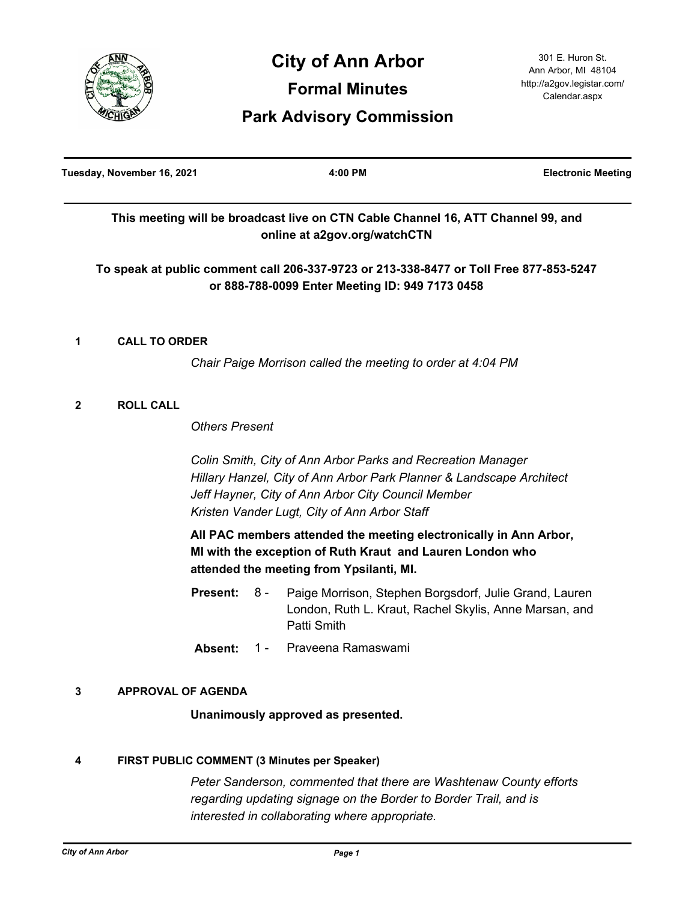

# **City of Ann Arbor Formal Minutes**

301 E. Huron St. Ann Arbor, MI 48104 http://a2gov.legistar.com/ Calendar.aspx

## **Park Advisory Commission**

| Tuesday, November 16, 2021 |                      |                          | 4:00 PM                                                                                                                                                                                                                                   | <b>Electronic Meeting</b> |
|----------------------------|----------------------|--------------------------|-------------------------------------------------------------------------------------------------------------------------------------------------------------------------------------------------------------------------------------------|---------------------------|
|                            |                      |                          | This meeting will be broadcast live on CTN Cable Channel 16, ATT Channel 99, and<br>online at a2gov.org/watchCTN                                                                                                                          |                           |
|                            |                      |                          | To speak at public comment call 206-337-9723 or 213-338-8477 or Toll Free 877-853-5247<br>or 888-788-0099 Enter Meeting ID: 949 7173 0458                                                                                                 |                           |
| 1                          | <b>CALL TO ORDER</b> |                          |                                                                                                                                                                                                                                           |                           |
|                            |                      |                          | Chair Paige Morrison called the meeting to order at 4:04 PM                                                                                                                                                                               |                           |
| $\mathbf{2}$               | <b>ROLL CALL</b>     |                          |                                                                                                                                                                                                                                           |                           |
|                            |                      | <b>Others Present</b>    |                                                                                                                                                                                                                                           |                           |
|                            |                      |                          | Colin Smith, City of Ann Arbor Parks and Recreation Manager<br>Hillary Hanzel, City of Ann Arbor Park Planner & Landscape Architect<br>Jeff Hayner, City of Ann Arbor City Council Member<br>Kristen Vander Lugt, City of Ann Arbor Staff |                           |
|                            |                      |                          | All PAC members attended the meeting electronically in Ann Arbor,<br>MI with the exception of Ruth Kraut and Lauren London who<br>attended the meeting from Ypsilanti, MI.                                                                |                           |
|                            |                      | <b>Present:</b><br>$8 -$ | Paige Morrison, Stephen Borgsdorf, Julie Grand, Lauren<br>London, Ruth L. Kraut, Rachel Skylis, Anne Marsan, and<br><b>Patti Smith</b>                                                                                                    |                           |

**Absent:** 1 - Praveena Ramaswami

## **3 APPROVAL OF AGENDA**

**Unanimously approved as presented.**

#### **4 FIRST PUBLIC COMMENT (3 Minutes per Speaker)**

*Peter Sanderson, commented that there are Washtenaw County efforts regarding updating signage on the Border to Border Trail, and is interested in collaborating where appropriate.*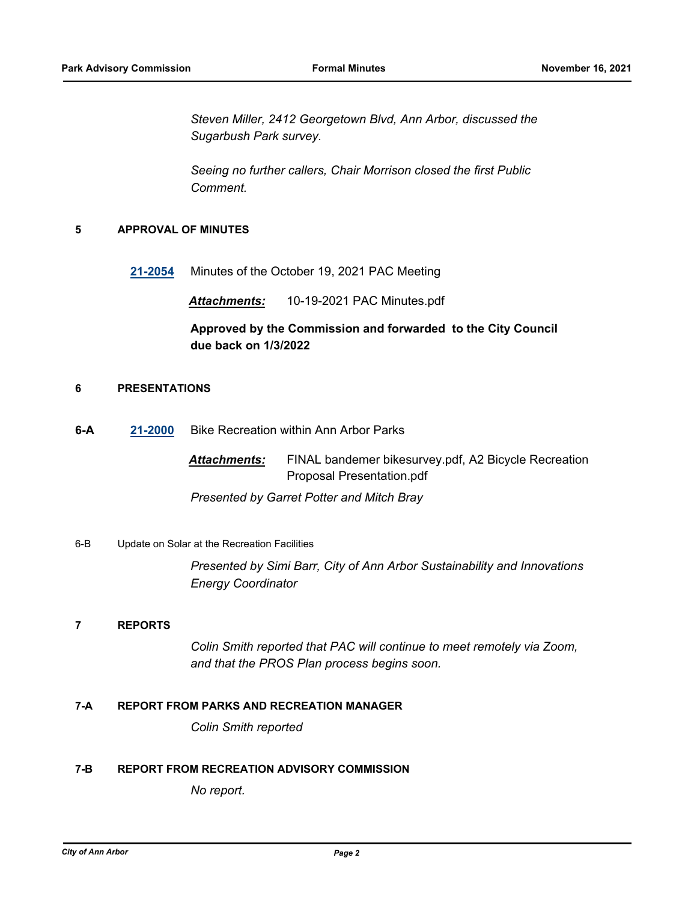*Steven Miller, 2412 Georgetown Blvd, Ann Arbor, discussed the Sugarbush Park survey.* 

*Seeing no further callers, Chair Morrison closed the first Public Comment.*

#### **5 APPROVAL OF MINUTES**

**[21-2054](http://a2gov.legistar.com/gateway.aspx?M=L&ID=28976)** Minutes of the October 19, 2021 PAC Meeting

*Attachments:* 10-19-2021 PAC Minutes.pdf

### **Approved by the Commission and forwarded to the City Council due back on 1/3/2022**

#### **6 PRESENTATIONS**

**6-A [21-2000](http://a2gov.legistar.com/gateway.aspx?M=L&ID=28922)** Bike Recreation within Ann Arbor Parks

*Attachments:* FINAL bandemer bikesurvey.pdf, A2 Bicycle Recreation Proposal Presentation.pdf

*Presented by Garret Potter and Mitch Bray*

#### 6-B Update on Solar at the Recreation Facilities

*Presented by Simi Barr, City of Ann Arbor Sustainability and Innovations Energy Coordinator*

#### **7 REPORTS**

*Colin Smith reported that PAC will continue to meet remotely via Zoom, and that the PROS Plan process begins soon.*

#### **7-A REPORT FROM PARKS AND RECREATION MANAGER**

*Colin Smith reported*

#### **7-B REPORT FROM RECREATION ADVISORY COMMISSION**

*No report.*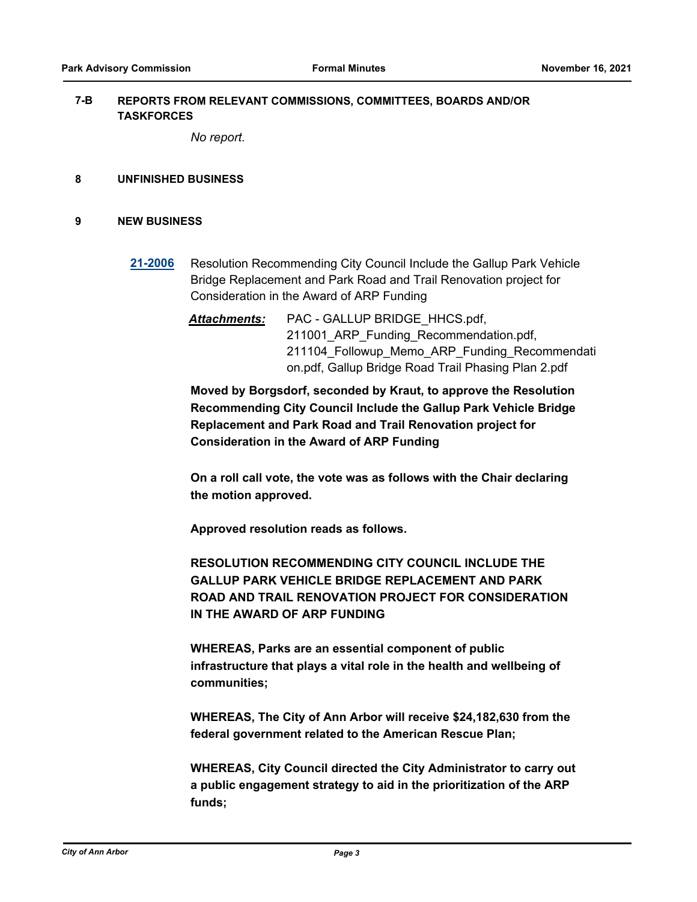#### **REPORTS FROM RELEVANT COMMISSIONS, COMMITTEES, BOARDS AND/OR TASKFORCES 7-B**

*No report.*

#### **8 UNFINISHED BUSINESS**

#### **9 NEW BUSINESS**

- **[21-2006](http://a2gov.legistar.com/gateway.aspx?M=L&ID=28928)** Resolution Recommending City Council Include the Gallup Park Vehicle Bridge Replacement and Park Road and Trail Renovation project for Consideration in the Award of ARP Funding
	- *Attachments:* PAC GALLUP BRIDGE\_HHCS.pdf, 211001 ARP Funding Recommendation.pdf, 211104 Followup Memo ARP Funding Recommendati on.pdf, Gallup Bridge Road Trail Phasing Plan 2.pdf

**Moved by Borgsdorf, seconded by Kraut, to approve the Resolution Recommending City Council Include the Gallup Park Vehicle Bridge Replacement and Park Road and Trail Renovation project for Consideration in the Award of ARP Funding**

**On a roll call vote, the vote was as follows with the Chair declaring the motion approved.** 

**Approved resolution reads as follows.** 

**RESOLUTION RECOMMENDING CITY COUNCIL INCLUDE THE GALLUP PARK VEHICLE BRIDGE REPLACEMENT AND PARK ROAD AND TRAIL RENOVATION PROJECT FOR CONSIDERATION IN THE AWARD OF ARP FUNDING**

**WHEREAS, Parks are an essential component of public infrastructure that plays a vital role in the health and wellbeing of communities;**

**WHEREAS, The City of Ann Arbor will receive \$24,182,630 from the federal government related to the American Rescue Plan;**

**WHEREAS, City Council directed the City Administrator to carry out a public engagement strategy to aid in the prioritization of the ARP funds;**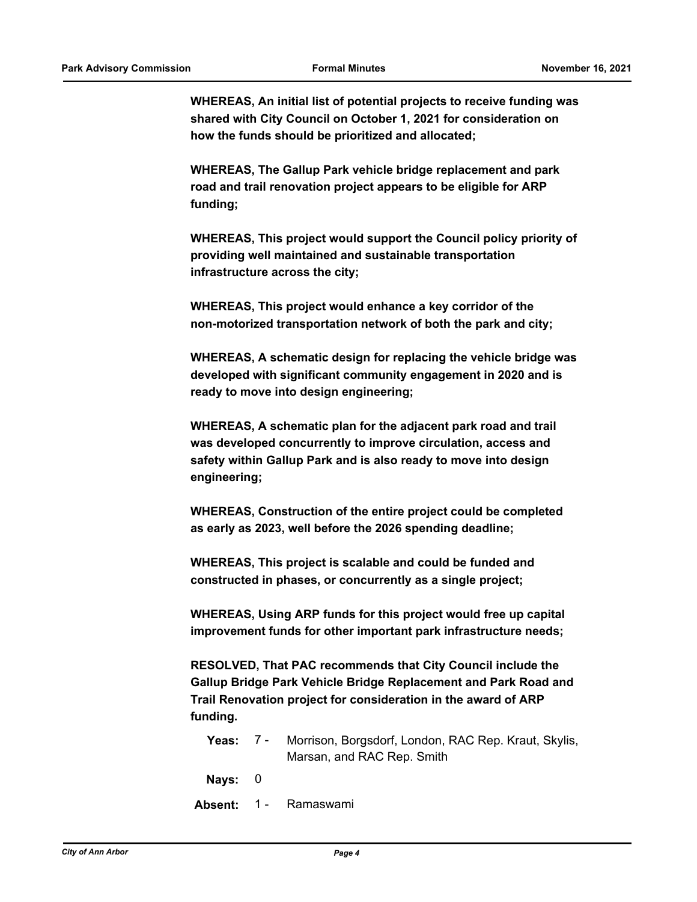**WHEREAS, An initial list of potential projects to receive funding was shared with City Council on October 1, 2021 for consideration on how the funds should be prioritized and allocated;**

**WHEREAS, The Gallup Park vehicle bridge replacement and park road and trail renovation project appears to be eligible for ARP funding;**

**WHEREAS, This project would support the Council policy priority of providing well maintained and sustainable transportation infrastructure across the city;**

**WHEREAS, This project would enhance a key corridor of the non-motorized transportation network of both the park and city;**

**WHEREAS, A schematic design for replacing the vehicle bridge was developed with significant community engagement in 2020 and is ready to move into design engineering;**

**WHEREAS, A schematic plan for the adjacent park road and trail was developed concurrently to improve circulation, access and safety within Gallup Park and is also ready to move into design engineering;**

**WHEREAS, Construction of the entire project could be completed as early as 2023, well before the 2026 spending deadline;**

**WHEREAS, This project is scalable and could be funded and constructed in phases, or concurrently as a single project;**

**WHEREAS, Using ARP funds for this project would free up capital improvement funds for other important park infrastructure needs;**

**RESOLVED, That PAC recommends that City Council include the Gallup Bridge Park Vehicle Bridge Replacement and Park Road and Trail Renovation project for consideration in the award of ARP funding.**

- **Yeas: 7 Morrison, Borgsdorf, London, RAC Rep. Kraut, Skylis,** Marsan, and RAC Rep. Smith 7 -
- **Nays:** 0
- **Absent:** 1 Ramaswami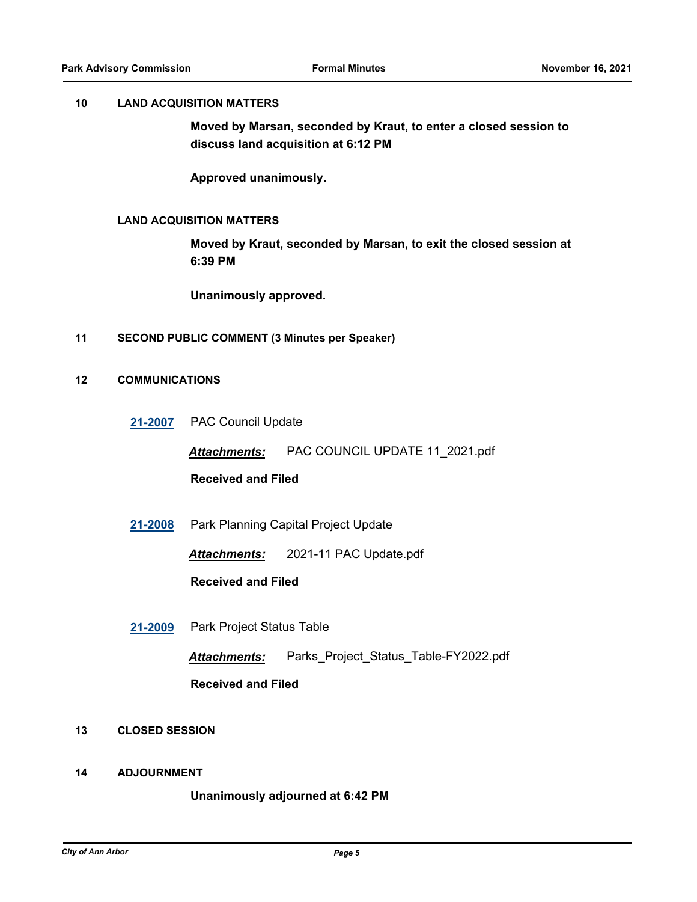#### **10 LAND ACQUISITION MATTERS**

**Moved by Marsan, seconded by Kraut, to enter a closed session to discuss land acquisition at 6:12 PM**

**Approved unanimously.**

#### **LAND ACQUISITION MATTERS**

**Moved by Kraut, seconded by Marsan, to exit the closed session at 6:39 PM**

**Unanimously approved.**

**11 SECOND PUBLIC COMMENT (3 Minutes per Speaker)**

#### **12 COMMUNICATIONS**

**[21-2007](http://a2gov.legistar.com/gateway.aspx?M=L&ID=28929)** PAC Council Update

*Attachments:* PAC COUNCIL UPDATE 11\_2021.pdf

**Received and Filed**

**[21-2008](http://a2gov.legistar.com/gateway.aspx?M=L&ID=28930)** Park Planning Capital Project Update

*Attachments:* 2021-11 PAC Update.pdf

**Received and Filed**

**[21-2009](http://a2gov.legistar.com/gateway.aspx?M=L&ID=28931)** Park Project Status Table

*Attachments:* Parks\_Project\_Status\_Table-FY2022.pdf

**Received and Filed**

- **13 CLOSED SESSION**
- **14 ADJOURNMENT**

#### **Unanimously adjourned at 6:42 PM**